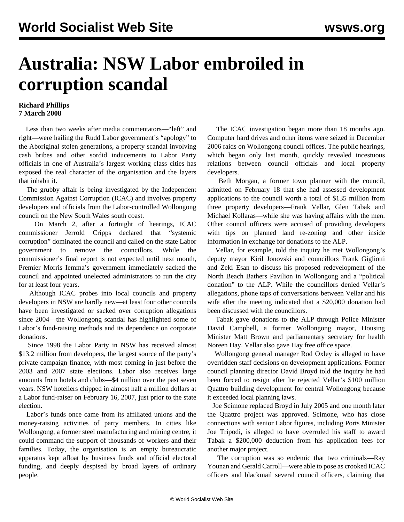## **Australia: NSW Labor embroiled in corruption scandal**

## **Richard Phillips 7 March 2008**

 Less than two weeks after media commentators—"left" and right—were hailing the Rudd Labor government's "apology" to the Aboriginal stolen generations, a property scandal involving cash bribes and other sordid inducements to Labor Party officials in one of Australia's largest working class cities has exposed the real character of the organisation and the layers that inhabit it.

 The grubby affair is being investigated by the Independent Commission Against Corruption (ICAC) and involves property developers and officials from the Labor-controlled Wollongong council on the New South Wales south coast.

 On March 2, after a fortnight of hearings, ICAC commissioner Jerrold Cripps declared that "systemic corruption" dominated the council and called on the state Labor government to remove the councillors. While the commissioner's final report is not expected until next month, Premier Morris Iemma's government immediately sacked the council and appointed unelected administrators to run the city for at least four years.

 Although ICAC probes into local councils and property developers in NSW are hardly new—at least four other councils have been investigated or sacked over corruption allegations since 2004—the Wollongong scandal has highlighted some of Labor's fund-raising methods and its dependence on corporate donations.

 Since 1998 the Labor Party in NSW has received almost \$13.2 million from developers, the largest source of the party's private campaign finance, with most coming in just before the 2003 and 2007 state elections. Labor also receives large amounts from hotels and clubs—\$4 million over the past seven years. NSW hoteliers chipped in almost half a million dollars at a Labor fund-raiser on February 16, 2007, just prior to the state election.

 Labor's funds once came from its affiliated unions and the money-raising activities of party members. In cities like Wollongong, a former steel manufacturing and mining centre, it could command the support of thousands of workers and their families. Today, the organisation is an empty bureaucratic apparatus kept afloat by business funds and official electoral funding, and deeply despised by broad layers of ordinary people.

 The ICAC investigation began more than 18 months ago. Computer hard drives and other items were seized in December 2006 raids on Wollongong council offices. The public hearings, which began only last month, quickly revealed incestuous relations between council officials and local property developers.

 Beth Morgan, a former town planner with the council, admitted on February 18 that she had assessed development applications to the council worth a total of \$135 million from three property developers—Frank Vellar, Glen Tabak and Michael Kollaras—while she was having affairs with the men. Other council officers were accused of providing developers with tips on planned land re-zoning and other inside information in exchange for donations to the ALP.

 Vellar, for example, told the inquiry he met Wollongong's deputy mayor Kiril Jonovski and councillors Frank Gigliotti and Zeki Esan to discuss his proposed redevelopment of the North Beach Bathers Pavilion in Wollongong and a "political donation" to the ALP. While the councillors denied Vellar's allegations, phone taps of conversations between Vellar and his wife after the meeting indicated that a \$20,000 donation had been discussed with the councillors.

 Tabak gave donations to the ALP through Police Minister David Campbell, a former Wollongong mayor, Housing Minister Matt Brown and parliamentary secretary for health Noreen Hay. Vellar also gave Hay free office space.

 Wollongong general manager Rod Oxley is alleged to have overridden staff decisions on development applications. Former council planning director David Broyd told the inquiry he had been forced to resign after he rejected Vellar's \$100 million Quattro building development for central Wollongong because it exceeded local planning laws.

 Joe Scimone replaced Broyd in July 2005 and one month later the Quattro project was approved. Scimone, who has close connections with senior Labor figures, including Ports Minister Joe Tripodi, is alleged to have overruled his staff to award Tabak a \$200,000 deduction from his application fees for another major project.

 The corruption was so endemic that two criminals—Ray Younan and Gerald Carroll—were able to pose as crooked ICAC officers and blackmail several council officers, claiming that